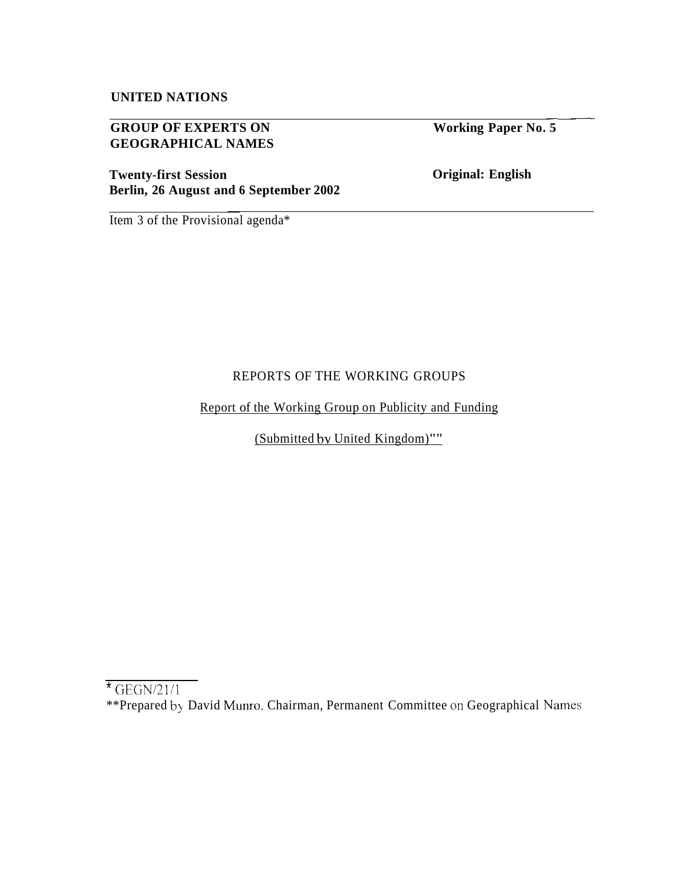# **UNITED NATIONS**

## **GROUP OF EXPERTS ON GEOGRAPHICAL NAMES**

**Twenty-first Session Berlin, 26 August and 6 September 2002**  **Working Paper No. 5** 

\_\_\_-\_

**Original: English** 

Item 3 of the Provisional agenda\*

## REPORTS OF THE WORKING GROUPS

Report of the Working Group on Publicity and Funding

(Submitted bv United Kingdom)""

\*\*Prepared by David Munro. Chairman, Permanent Committee on Geographical Names

 $*$  GEGN/21/1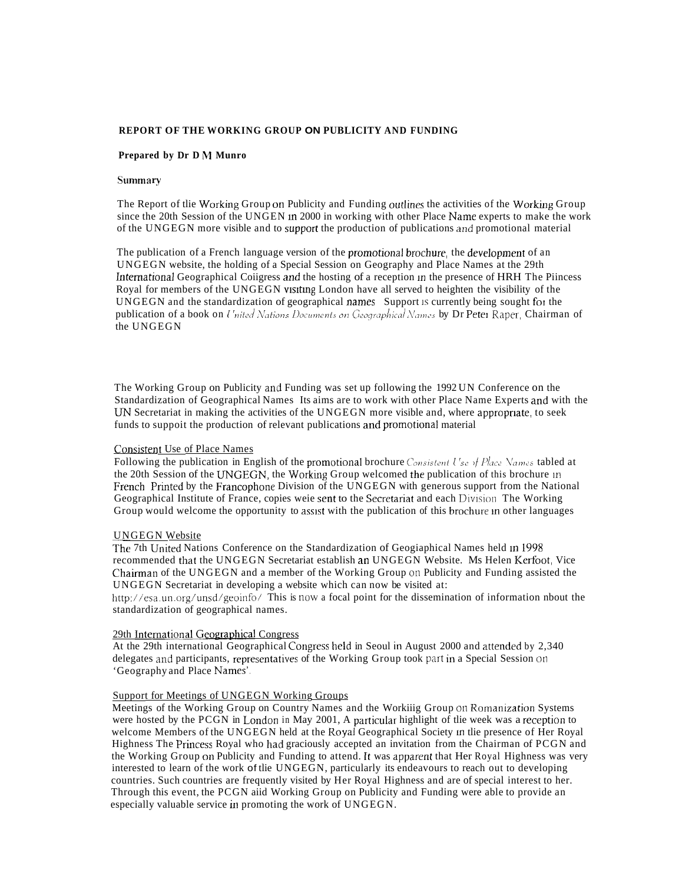#### REPORT OF THE WORKING GROUP ON PUBLICITY AND FUNDING

#### Prepared by Dr D M Munro

## **Summary**

The Report of the Working Group on Publicity and Funding outlines the activities of the Working Group since the 20th Session of the UNGEN in 2000 in working with other Place Name experts to make the work of the UNGEGN more visible and to support the production of publications and promotional material

The publication of a French language version of the promotional brochure, the development of an UNGEGN website, the holding of a Special Session on Geography and Place Names at the 29th International Geographical Coiigress and the hosting of a reception in the presence of HRH The Piincess Royal for members of the UNGEGN visiting London have all served to heighten the visibility of the UNGEGN and the standardization of geographical names Support is currently being sought for the publication of a book on United Nations Documents on Geographical Names by Dr Peter Raper, Chairman of the UNGEGN

The Working Group on Publicity and Funding was set up following the 1992 UN Conference on the Standardization of Geographical Names Its aims are to work with other Place Name Experts and with the UN Secretariat in making the activities of the UNGEGN more visible and, where appropriate, to seek funds to suppoit the production of relevant publications and promotional material

#### **Consistent Use of Place Names**

Following the publication in English of the promotional brochure Consistent Use of Place Names tabled at the 20th Session of the UNGEGN, the Working Group welcomed the publication of this brochure in French Printed by the Francophone Division of the UNGEGN with generous support from the National Geographical Institute of France, copies weie sent to the Secretariat and each Division The Working Group would welcome the opportunity to assist with the publication of this brochure in other languages

#### **UNGEGN Website**

The 7th United Nations Conference on the Standardization of Geogiaphical Names held In 1998 recommended that the UNGEGN Secretariat establish an UNGEGN Website. Ms Helen Kerfoot, Vice Chairman of the UNGEGN and a member of the Working Group on Publicity and Funding assisted the UNGEGN Secretariat in developing a website which can now be visited at:

http://esa.un.org/unsd/geoinfo/ This is now a focal point for the dissemination of information nbout the standardization of geographical names.

### 29th International Geographical Congress

At the 29th international Geographical Congress held in Seoul in August 2000 and attended by 2,340 delegates and participants, representatives of the Working Group took part in a Special Session on 'Geography and Place Names'.

## Support for Meetings of UNGEGN Working Groups

Meetings of the Working Group on Country Names and the Workiiig Group on Romanization Systems were hosted by the PCGN in London in May 2001, A particular highlight of the week was a reception to welcome Members of the UNGEGN held at the Royal Geographical Society in the presence of Her Royal Highness The Princess Royal who had graciously accepted an invitation from the Chairman of PCGN and the Working Group on Publicity and Funding to attend. It was apparent that Her Royal Highness was very interested to learn of the work of the UNGEGN, particularly its endeavours to reach out to developing countries. Such countries are frequently visited by Her Royal Highness and are of special interest to her. Through this event, the PCGN aiid Working Group on Publicity and Funding were able to provide an especially valuable service in promoting the work of UNGEGN.